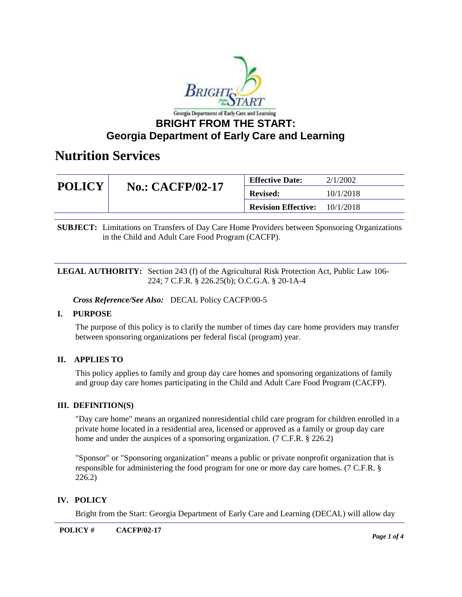

| <b>POLICY</b> | <b>No.: CACFP/02-17</b> | <b>Effective Date:</b>     | 2/1/2002  |
|---------------|-------------------------|----------------------------|-----------|
|               |                         | <b>Revised:</b>            | 10/1/2018 |
|               |                         | <b>Revision Effective:</b> | 10/1/2018 |

**SUBJECT:** Limitations on Transfers of Day Care Home Providers between Sponsoring Organizations in the Child and Adult Care Food Program (CACFP).

#### **LEGAL AUTHORITY:** Section 243 (f) of the Agricultural Risk Protection Act, Public Law 106- 224; 7 C.F.R. § 226.25(b); O.C.G.A. § 20-1A-4

*Cross Reference/See Also:* DECAL Policy CACFP/00-5

### **I. PURPOSE**

The purpose of this policy is to clarify the number of times day care home providers may transfer between sponsoring organizations per federal fiscal (program) year.

## **II. APPLIES TO**

This policy applies to family and group day care homes and sponsoring organizations of family and group day care homes participating in the Child and Adult Care Food Program (CACFP).

#### **III. DEFINITION(S)**

"Day care home" means an organized nonresidential child care program for children enrolled in a private home located in a residential area, licensed or approved as a family or group day care home and under the auspices of a sponsoring organization. (7 C.F.R. § 226.2)

"Sponsor" or "Sponsoring organization" means a public or private nonprofit organization that is responsible for administering the food program for one or more day care homes. (7 C.F.R. § 226.2)

### **IV. POLICY**

Bright from the Start: Georgia Department of Early Care and Learning (DECAL) will allow day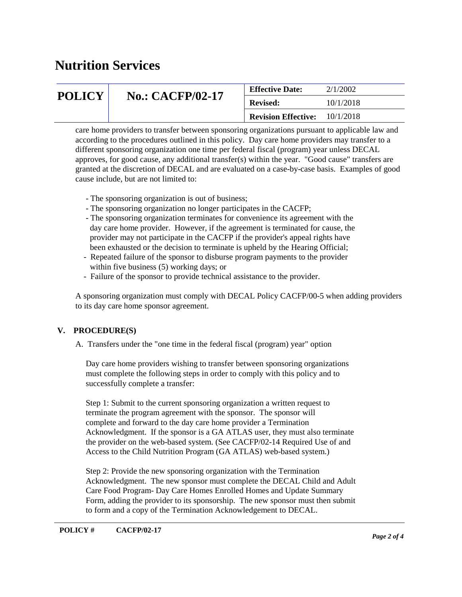|                                          | <b>Effective Date:</b>     | 2/1/2002  |
|------------------------------------------|----------------------------|-----------|
| <b>POLICY</b><br><b>No.: CACFP/02-17</b> | <b>Revised:</b>            | 10/1/2018 |
|                                          | <b>Revision Effective:</b> | 10/1/2018 |

care home providers to transfer between sponsoring organizations pursuant to applicable law and according to the procedures outlined in this policy. Day care home providers may transfer to a different sponsoring organization one time per federal fiscal (program) year unless DECAL approves, for good cause, any additional transfer(s) within the year. "Good cause" transfers are granted at the discretion of DECAL and are evaluated on a case-by-case basis. Examples of good cause include, but are not limited to:

- The sponsoring organization is out of business;
- The sponsoring organization no longer participates in the CACFP;
- The sponsoring organization terminates for convenience its agreement with the day care home provider. However, if the agreement is terminated for cause, the provider may not participate in the CACFP if the provider's appeal rights have been exhausted or the decision to terminate is upheld by the Hearing Official;
- Repeated failure of the sponsor to disburse program payments to the provider within five business (5) working days; or
- Failure of the sponsor to provide technical assistance to the provider.

A sponsoring organization must comply with DECAL Policy CACFP/00-5 when adding providers to its day care home sponsor agreement.

## **V. PROCEDURE(S)**

A. Transfers under the "one time in the federal fiscal (program) year" option

 Day care home providers wishing to transfer between sponsoring organizations must complete the following steps in order to comply with this policy and to successfully complete a transfer:

 Step 1: Submit to the current sponsoring organization a written request to terminate the program agreement with the sponsor. The sponsor will complete and forward to the day care home provider a Termination Acknowledgment. If the sponsor is a GA ATLAS user, they must also terminate the provider on the web-based system. (See CACFP/02-14 Required Use of and Access to the Child Nutrition Program (GA ATLAS) web-based system.)

 Step 2: Provide the new sponsoring organization with the Termination Acknowledgment. The new sponsor must complete the DECAL Child and Adult Care Food Program- Day Care Homes Enrolled Homes and Update Summary Form, adding the provider to its sponsorship. The new sponsor must then submit to form and a copy of the Termination Acknowledgement to DECAL.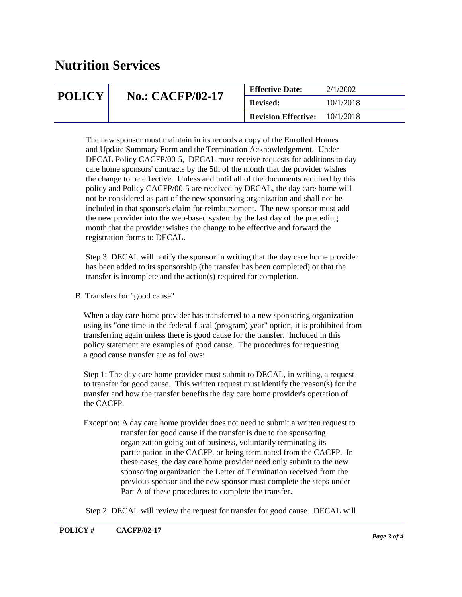| <b>POLICY</b> | <b>No.: CACFP/02-17</b> | <b>Effective Date:</b>     | 2/1/2002  |
|---------------|-------------------------|----------------------------|-----------|
|               |                         | <b>Revised:</b>            | 10/1/2018 |
|               |                         | <b>Revision Effective:</b> | 10/1/2018 |

 The new sponsor must maintain in its records a copy of the Enrolled Homes and Update Summary Form and the Termination Acknowledgement. Under DECAL Policy CACFP/00-5, DECAL must receive requests for additions to day care home sponsors' contracts by the 5th of the month that the provider wishes the change to be effective. Unless and until all of the documents required by this policy and Policy CACFP/00-5 are received by DECAL, the day care home will not be considered as part of the new sponsoring organization and shall not be included in that sponsor's claim for reimbursement. The new sponsor must add the new provider into the web-based system by the last day of the preceding month that the provider wishes the change to be effective and forward the registration forms to DECAL.

 Step 3: DECAL will notify the sponsor in writing that the day care home provider has been added to its sponsorship (the transfer has been completed) or that the transfer is incomplete and the action(s) required for completion.

B. Transfers for "good cause"

 When a day care home provider has transferred to a new sponsoring organization using its "one time in the federal fiscal (program) year" option, it is prohibited from transferring again unless there is good cause for the transfer. Included in this policy statement are examples of good cause. The procedures for requesting a good cause transfer are as follows:

 Step 1: The day care home provider must submit to DECAL, in writing, a request to transfer for good cause. This written request must identify the reason(s) for the transfer and how the transfer benefits the day care home provider's operation of the CACFP.

 Exception: A day care home provider does not need to submit a written request to transfer for good cause if the transfer is due to the sponsoring organization going out of business, voluntarily terminating its participation in the CACFP, or being terminated from the CACFP. In these cases, the day care home provider need only submit to the new sponsoring organization the Letter of Termination received from the previous sponsor and the new sponsor must complete the steps under Part A of these procedures to complete the transfer.

Step 2: DECAL will review the request for transfer for good cause. DECAL will